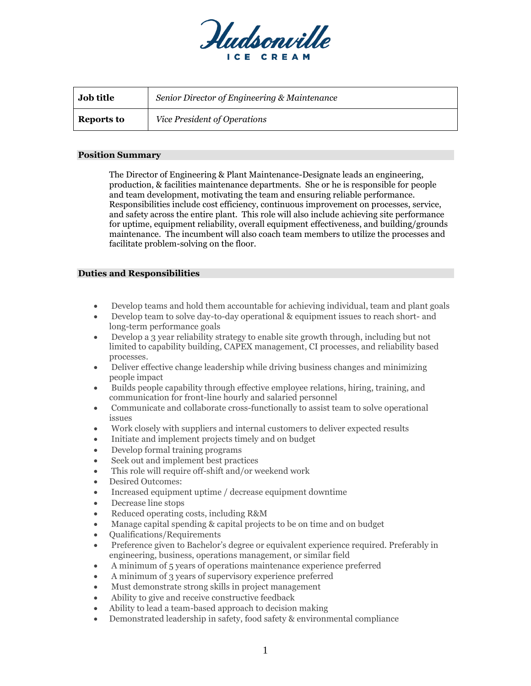

| <b>Job title</b>  | Senior Director of Engineering & Maintenance |
|-------------------|----------------------------------------------|
| <b>Reports to</b> | Vice President of Operations                 |

#### **Position Summary**

The Director of Engineering & Plant Maintenance-Designate leads an engineering, production, & facilities maintenance departments. She or he is responsible for people and team development, motivating the team and ensuring reliable performance. Responsibilities include cost efficiency, continuous improvement on processes, service, and safety across the entire plant. This role will also include achieving site performance for uptime, equipment reliability, overall equipment effectiveness, and building/grounds maintenance. The incumbent will also coach team members to utilize the processes and facilitate problem-solving on the floor.

## **Duties and Responsibilities**

- Develop teams and hold them accountable for achieving individual, team and plant goals
- Develop team to solve day-to-day operational & equipment issues to reach short- and long-term performance goals
- Develop a 3 year reliability strategy to enable site growth through, including but not limited to capability building, CAPEX management, CI processes, and reliability based processes.
- Deliver effective change leadership while driving business changes and minimizing people impact
- Builds people capability through effective employee relations, hiring, training, and communication for front-line hourly and salaried personnel
- Communicate and collaborate cross-functionally to assist team to solve operational issues
- Work closely with suppliers and internal customers to deliver expected results
- Initiate and implement projects timely and on budget
- Develop formal training programs
- Seek out and implement best practices
- This role will require off-shift and/or weekend work
- Desired Outcomes:
- Increased equipment uptime / decrease equipment downtime
- Decrease line stops
- Reduced operating costs, including R&M
- Manage capital spending & capital projects to be on time and on budget
- Qualifications/Requirements
- Preference given to Bachelor's degree or equivalent experience required. Preferably in engineering, business, operations management, or similar field
- A minimum of 5 years of operations maintenance experience preferred
- A minimum of 3 years of supervisory experience preferred
- Must demonstrate strong skills in project management
- Ability to give and receive constructive feedback
- Ability to lead a team-based approach to decision making
- Demonstrated leadership in safety, food safety & environmental compliance